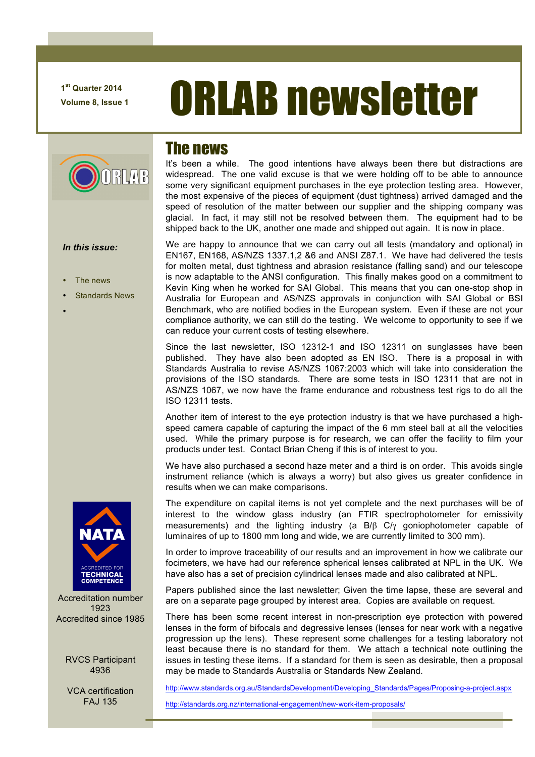**1st Quarter 2014**

# **T<sup>st</sup> Quarter 2014 ORLAB newsletter**

# RLAP

#### *In this issue:*

- The news
- Standards News
- •

### The news

It's been a while. The good intentions have always been there but distractions are widespread. The one valid excuse is that we were holding off to be able to announce some very significant equipment purchases in the eye protection testing area. However, the most expensive of the pieces of equipment (dust tightness) arrived damaged and the speed of resolution of the matter between our supplier and the shipping company was glacial. In fact, it may still not be resolved between them. The equipment had to be shipped back to the UK, another one made and shipped out again. It is now in place.

We are happy to announce that we can carry out all tests (mandatory and optional) in EN167, EN168, AS/NZS 1337.1,2 &6 and ANSI Z87.1. We have had delivered the tests for molten metal, dust tightness and abrasion resistance (falling sand) and our telescope is now adaptable to the ANSI configuration. This finally makes good on a commitment to Kevin King when he worked for SAI Global. This means that you can one-stop shop in Australia for European and AS/NZS approvals in conjunction with SAI Global or BSI Benchmark, who are notified bodies in the European system. Even if these are not your compliance authority, we can still do the testing. We welcome to opportunity to see if we can reduce your current costs of testing elsewhere.

Since the last newsletter, ISO 12312-1 and ISO 12311 on sunglasses have been published. They have also been adopted as EN ISO. There is a proposal in with Standards Australia to revise AS/NZS 1067:2003 which will take into consideration the provisions of the ISO standards. There are some tests in ISO 12311 that are not in AS/NZS 1067, we now have the frame endurance and robustness test rigs to do all the ISO 12311 tests.

Another item of interest to the eye protection industry is that we have purchased a highspeed camera capable of capturing the impact of the 6 mm steel ball at all the velocities used. While the primary purpose is for research, we can offer the facility to film your products under test. Contact Brian Cheng if this is of interest to you.

We have also purchased a second haze meter and a third is on order. This avoids single instrument reliance (which is always a worry) but also gives us greater confidence in results when we can make comparisons.

The expenditure on capital items is not yet complete and the next purchases will be of interest to the window glass industry (an FTIR spectrophotometer for emissivity measurements) and the lighting industry (a B/β C/γ goniophotometer capable of luminaires of up to 1800 mm long and wide, we are currently limited to 300 mm).

In order to improve traceability of our results and an improvement in how we calibrate our focimeters, we have had our reference spherical lenses calibrated at NPL in the UK. We have also has a set of precision cylindrical lenses made and also calibrated at NPL.

Papers published since the last newsletter; Given the time lapse, these are several and are on a separate page grouped by interest area. Copies are available on request.

There has been some recent interest in non-prescription eye protection with powered lenses in the form of bifocals and degressive lenses (lenses for near work with a negative progression up the lens). These represent some challenges for a testing laboratory not least because there is no standard for them. We attach a technical note outlining the issues in testing these items. If a standard for them is seen as desirable, then a proposal may be made to Standards Australia or Standards New Zealand.

http://www.standards.org.au/StandardsDevelopment/Developing\_Standards/Pages/Proposing-a-project.aspx

http://standards.org.nz/international-engagement/new-work-item-proposals/



Accreditation number 1923 Accredited since 1985

> RVCS Participant 4936

> VCA certification FAJ 135